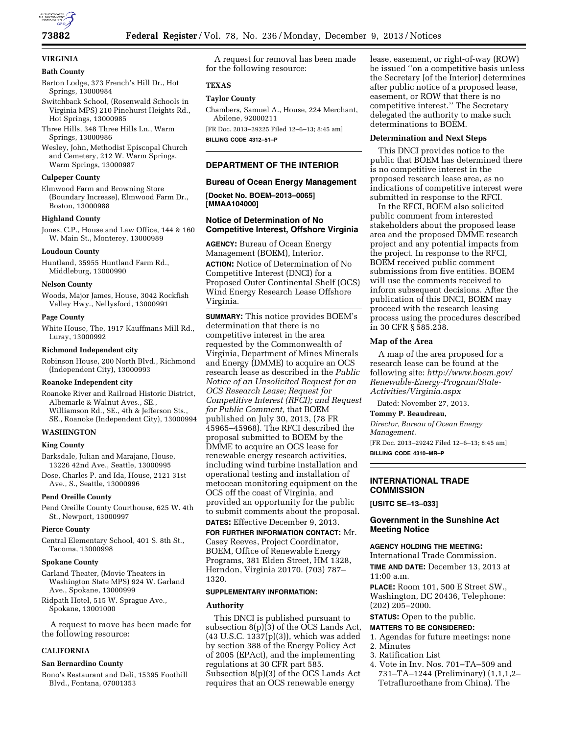

## **VIRGINIA**

#### **Bath County**

- Barton Lodge, 373 French's Hill Dr., Hot Springs, 13000984
- Switchback School, (Rosenwald Schools in Virginia MPS) 210 Pinehurst Heights Rd., Hot Springs, 13000985
- Three Hills, 348 Three Hills Ln., Warm Springs, 13000986
- Wesley, John, Methodist Episcopal Church and Cemetery, 212 W. Warm Springs, Warm Springs, 13000987

#### **Culpeper County**

Elmwood Farm and Browning Store (Boundary Increase), Elmwood Farm Dr., Boston, 13000988

#### **Highland County**

Jones, C.P., House and Law Office, 144 & 160 W. Main St., Monterey, 13000989

#### **Loudoun County**

Huntland, 35955 Huntland Farm Rd., Middleburg, 13000990

#### **Nelson County**

Woods, Major James, House, 3042 Rockfish Valley Hwy., Nellysford, 13000991

#### **Page County**

White House, The, 1917 Kauffmans Mill Rd., Luray, 13000992

#### **Richmond Independent city**

Robinson House, 200 North Blvd., Richmond (Independent City), 13000993

#### **Roanoke Independent city**

Roanoke River and Railroad Historic District, Albemarle & Walnut Aves., SE., Williamson Rd., SE., 4th & Jefferson Sts., SE., Roanoke (Independent City), 13000994

#### **WASHINGTON**

#### **King County**

Barksdale, Julian and Marajane, House, 13226 42nd Ave., Seattle, 13000995

Dose, Charles P. and Ida, House, 2121 31st Ave., S., Seattle, 13000996

#### **Pend Oreille County**

Pend Oreille County Courthouse, 625 W. 4th St., Newport, 13000997

#### **Pierce County**

Central Elementary School, 401 S. 8th St., Tacoma, 13000998

#### **Spokane County**

Garland Theater, (Movie Theaters in Washington State MPS) 924 W. Garland Ave., Spokane, 13000999

Ridpath Hotel, 515 W. Sprague Ave., Spokane, 13001000

A request to move has been made for the following resource:

#### **CALIFORNIA**

#### **San Bernardino County**

Bono's Restaurant and Deli, 15395 Foothill Blvd., Fontana, 07001353

A request for removal has been made for the following resource:

#### **TEXAS**

#### **Taylor County**

Chambers, Samuel A., House, 224 Merchant, Abilene, 92000211

[FR Doc. 2013–29225 Filed 12–6–13; 8:45 am] **BILLING CODE 4312–51–P** 

#### **DEPARTMENT OF THE INTERIOR**

### **Bureau of Ocean Energy Management [Docket No. BOEM–2013–0065]**

## **[MMAA104000]**

#### **Notice of Determination of No Competitive Interest, Offshore Virginia**

**AGENCY:** Bureau of Ocean Energy Management (BOEM), Interior. **ACTION:** Notice of Determination of No Competitive Interest (DNCI) for a Proposed Outer Continental Shelf (OCS) Wind Energy Research Lease Offshore Virginia.

**SUMMARY:** This notice provides BOEM's determination that there is no competitive interest in the area requested by the Commonwealth of Virginia, Department of Mines Minerals and Energy (DMME) to acquire an OCS research lease as described in the *Public Notice of an Unsolicited Request for an OCS Research Lease; Request for Competitive Interest (RFCI); and Request for Public Comment,* that BOEM published on July 30, 2013, (78 FR 45965–45968). The RFCI described the proposal submitted to BOEM by the DMME to acquire an OCS lease for renewable energy research activities, including wind turbine installation and operational testing and installation of metocean monitoring equipment on the OCS off the coast of Virginia, and provided an opportunity for the public to submit comments about the proposal. **DATES:** Effective December 9, 2013.

#### **FOR FURTHER INFORMATION CONTACT:** Mr.

Casey Reeves, Project Coordinator, BOEM, Office of Renewable Energy Programs, 381 Elden Street, HM 1328, Herndon, Virginia 20170. (703) 787– 1320.

#### **SUPPLEMENTARY INFORMATION:**

#### **Authority**

This DNCI is published pursuant to subsection  $8(p)(3)$  of the OCS Lands Act, (43 U.S.C. 1337(p)(3)), which was added by section 388 of the Energy Policy Act of 2005 (EPAct), and the implementing regulations at 30 CFR part 585. Subsection 8(p)(3) of the OCS Lands Act requires that an OCS renewable energy

lease, easement, or right-of-way (ROW) be issued ''on a competitive basis unless the Secretary [of the Interior] determines after public notice of a proposed lease, easement, or ROW that there is no competitive interest.'' The Secretary delegated the authority to make such determinations to BOEM.

#### **Determination and Next Steps**

This DNCI provides notice to the public that BOEM has determined there is no competitive interest in the proposed research lease area, as no indications of competitive interest were submitted in response to the RFCI.

In the RFCI, BOEM also solicited public comment from interested stakeholders about the proposed lease area and the proposed DMME research project and any potential impacts from the project. In response to the RFCI, BOEM received public comment submissions from five entities. BOEM will use the comments received to inform subsequent decisions. After the publication of this DNCI, BOEM may proceed with the research leasing process using the procedures described in 30 CFR § 585.238.

#### **Map of the Area**

A map of the area proposed for a research lease can be found at the following site: *[http://www.boem.gov/](http://www.boem.gov/Renewable-Energy-Program/State-Activities/Virginia.aspx) [Renewable-Energy-Program/State-](http://www.boem.gov/Renewable-Energy-Program/State-Activities/Virginia.aspx)[Activities/Virginia.aspx](http://www.boem.gov/Renewable-Energy-Program/State-Activities/Virginia.aspx)* 

#### **INTERNATIONAL TRADE COMMISSION**

#### **Government in the Sunshine Act Meeting Notice**

International Trade Commission.

**TIME AND DATE:** December 13, 2013 at 11:00 a.m.

**PLACE:** Room 101, 500 E Street SW., Washington, DC 20436, Telephone: (202) 205–2000.

**STATUS:** Open to the public.

#### **MATTERS TO BE CONSIDERED:**

1. Agendas for future meetings: none 2. Minutes

- 3. Ratification List
- 4. Vote in Inv. Nos. 701–TA–509 and 731–TA–1244 (Preliminary) (1,1,1,2– Tetrafluroethane from China). The

Dated: November 27, 2013.

#### **Tommy P. Beaudreau,**

*Director, Bureau of Ocean Energy Management.* 

[FR Doc. 2013–29242 Filed 12–6–13; 8:45 am] **BILLING CODE 4310–MR–P** 

# **[USITC SE–13–033]**

## **AGENCY HOLDING THE MEETING:**